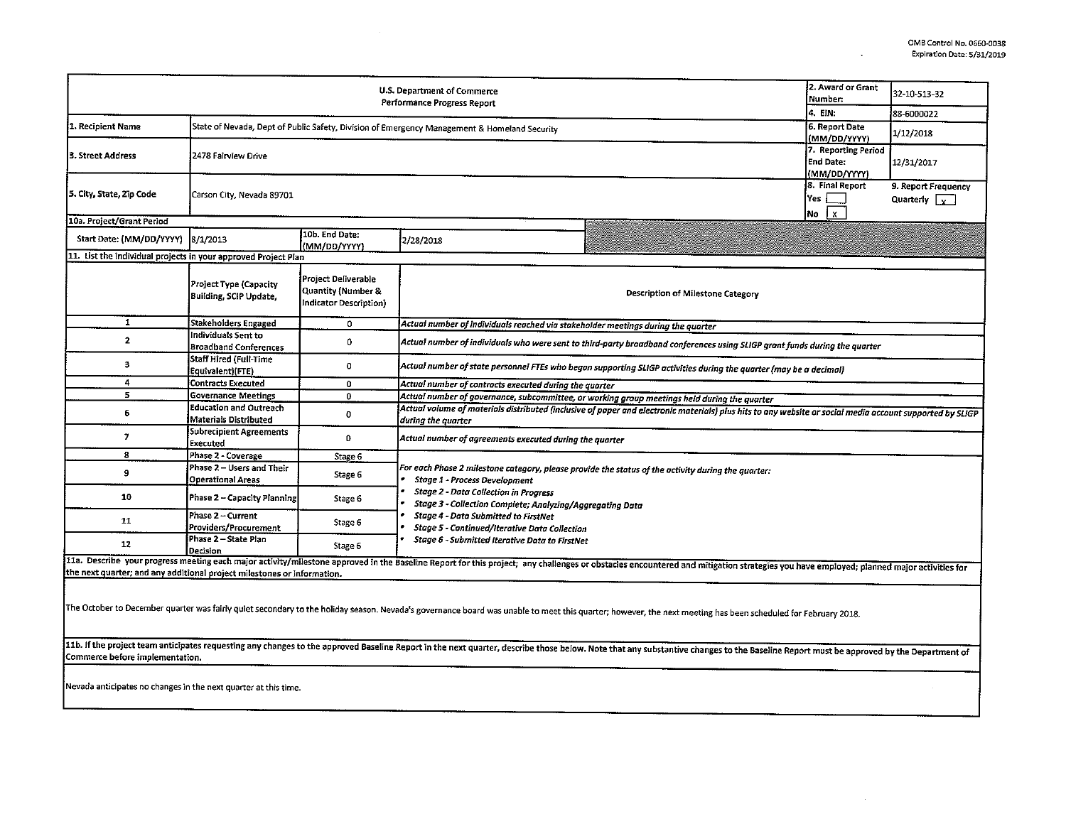$\Box$ 

 $\sim$ 

|                                                                         |                                                                                              |                                                                                | U.S. Department of Commerce                                                                                                                                                                                                                             |                                                                                                                                                                                                                                | 2. Award or Grant                               | 32-10-513-32                                |  |  |  |
|-------------------------------------------------------------------------|----------------------------------------------------------------------------------------------|--------------------------------------------------------------------------------|---------------------------------------------------------------------------------------------------------------------------------------------------------------------------------------------------------------------------------------------------------|--------------------------------------------------------------------------------------------------------------------------------------------------------------------------------------------------------------------------------|-------------------------------------------------|---------------------------------------------|--|--|--|
| Performance Progress Report                                             |                                                                                              |                                                                                |                                                                                                                                                                                                                                                         |                                                                                                                                                                                                                                | Number:<br>4. EIN:                              | 88-6000022                                  |  |  |  |
| 1. Recipient Name                                                       | State of Nevada, Dept of Public Safety, Division of Emergency Management & Homeland Security |                                                                                |                                                                                                                                                                                                                                                         |                                                                                                                                                                                                                                | 6. Report Date<br>(MM/DD/YYYY)                  | 1/12/2018                                   |  |  |  |
| 3. Street Address                                                       | 2478 Fairview Drive                                                                          |                                                                                |                                                                                                                                                                                                                                                         |                                                                                                                                                                                                                                |                                                 | 12/31/2017                                  |  |  |  |
| 5. City, State, Zip Code                                                | Carson City, Nevada 89701                                                                    |                                                                                |                                                                                                                                                                                                                                                         |                                                                                                                                                                                                                                | 8. Final Report<br>lYes l<br>$\mathbf{x}$<br>No | 9. Report Frequency<br>Quarterly $\sqrt{v}$ |  |  |  |
| 10a. Project/Grant Period                                               |                                                                                              |                                                                                |                                                                                                                                                                                                                                                         |                                                                                                                                                                                                                                |                                                 |                                             |  |  |  |
| Start Date: (MM/DD/YYYY)                                                | 8/1/2013                                                                                     | 10b. End Date:<br>(MM/DD/YYYY)                                                 | 2/28/2018                                                                                                                                                                                                                                               |                                                                                                                                                                                                                                |                                                 |                                             |  |  |  |
| 11. List the individual projects in your approved Project Plan          |                                                                                              |                                                                                |                                                                                                                                                                                                                                                         |                                                                                                                                                                                                                                |                                                 |                                             |  |  |  |
|                                                                         | Project Type (Capacity<br><b>Building, SCIP Update,</b>                                      | Project Deliverable<br><b>Quantity (Number &amp;</b><br>Indicator Description) | Description of Milestone Category                                                                                                                                                                                                                       |                                                                                                                                                                                                                                |                                                 |                                             |  |  |  |
| 1                                                                       | Stakeholders Engaged                                                                         | 0                                                                              |                                                                                                                                                                                                                                                         | Actual number of individuals reached via stakeholder meetings during the quarter                                                                                                                                               |                                                 |                                             |  |  |  |
| $\mathbf{2}$                                                            | Individuals Sent to<br><b>Broadband Conferences</b>                                          | 0                                                                              |                                                                                                                                                                                                                                                         | Actual number of individuals who were sent to third-party broadband conferences using SLIGP grant funds during the quarter                                                                                                     |                                                 |                                             |  |  |  |
| з                                                                       | <b>Staff Hired (Full-Time</b><br>Equivalent)(FTE)                                            | 0                                                                              | Actual number of state personnel FTEs who began supporting SLIGP activities during the quarter (may be a decimal)                                                                                                                                       |                                                                                                                                                                                                                                |                                                 |                                             |  |  |  |
| 4                                                                       | <b>Contracts Executed</b>                                                                    | 0                                                                              | Actual number of contracts executed during the quarter                                                                                                                                                                                                  |                                                                                                                                                                                                                                |                                                 |                                             |  |  |  |
| 5                                                                       | <b>Governance Meetings</b>                                                                   | 0                                                                              | Actual number of governance, subcommittee, or working group meetings held during the quarter                                                                                                                                                            |                                                                                                                                                                                                                                |                                                 |                                             |  |  |  |
| 6                                                                       | <b>Education and Outreach</b><br><b>Materials Distributed</b>                                | 0                                                                              | Actual volume of materials distributed (inclusive of paper and electronic materials) plus hits to any website or social media account supported by SLIGP<br>during the quarter                                                                          |                                                                                                                                                                                                                                |                                                 |                                             |  |  |  |
| 7                                                                       | Subrecipient Agreements<br>Executed                                                          | 0                                                                              | Actual number of agreements executed during the quarter                                                                                                                                                                                                 |                                                                                                                                                                                                                                |                                                 |                                             |  |  |  |
| 8                                                                       | Phase 2 - Coverage                                                                           | Stage 6                                                                        |                                                                                                                                                                                                                                                         |                                                                                                                                                                                                                                |                                                 |                                             |  |  |  |
| 9                                                                       | Phase 2 - Users and Their<br>Operational Areas                                               | Stage 6                                                                        | For each Phase 2 milestone category, please provide the status of the activity during the quarter:<br><b>Stage 1 - Process Development</b><br><b>Stage 2 - Data Collection in Progress</b><br>Stage 3 - Collection Complete; Analyzing/Aggregating Data |                                                                                                                                                                                                                                |                                                 |                                             |  |  |  |
| 10                                                                      | Phase 2 - Capacity Planning                                                                  | Stage 6                                                                        |                                                                                                                                                                                                                                                         |                                                                                                                                                                                                                                |                                                 |                                             |  |  |  |
| 11                                                                      | Phase 2 - Current<br>Providers/Procurement                                                   | Stage 6                                                                        | <b>Stage 4 - Data Submitted to FirstNet</b><br><b>Stage 5 - Continued/Iterative Data Collection</b>                                                                                                                                                     |                                                                                                                                                                                                                                |                                                 |                                             |  |  |  |
| 12                                                                      | Phase 2 - State Plan<br>Decision                                                             | Stage 6                                                                        | Stage 6 - Submitted Iterative Data to FirstNet                                                                                                                                                                                                          |                                                                                                                                                                                                                                |                                                 |                                             |  |  |  |
|                                                                         |                                                                                              |                                                                                |                                                                                                                                                                                                                                                         | 11a. Describe your progress meeting each major activity/milestone approved in the Baseline Report for this project; any challenges or obstacles encountered and mitigation strategies you have employed; planned major activit |                                                 |                                             |  |  |  |
| the next quarter; and any additional project milestones or information. |                                                                                              |                                                                                |                                                                                                                                                                                                                                                         |                                                                                                                                                                                                                                |                                                 |                                             |  |  |  |
|                                                                         |                                                                                              |                                                                                |                                                                                                                                                                                                                                                         |                                                                                                                                                                                                                                |                                                 |                                             |  |  |  |
|                                                                         |                                                                                              |                                                                                |                                                                                                                                                                                                                                                         | The October to December quarter was fairly quiet secondary to the holiday season. Nevada's governance board was unable to meet this quarter; however, the next meeting has been scheduled for February 2018.                   |                                                 |                                             |  |  |  |
| Commerce before implementation.                                         |                                                                                              |                                                                                |                                                                                                                                                                                                                                                         | 11b. If the project team anticipates requesting any changes to the approved Baseline Report in the next quarter, describe those below. Note that any substantive changes to the Baseline Report must be approved by the Depart |                                                 |                                             |  |  |  |
| Nevada anticipates no changes in the next quarter at this time.         |                                                                                              |                                                                                |                                                                                                                                                                                                                                                         |                                                                                                                                                                                                                                |                                                 |                                             |  |  |  |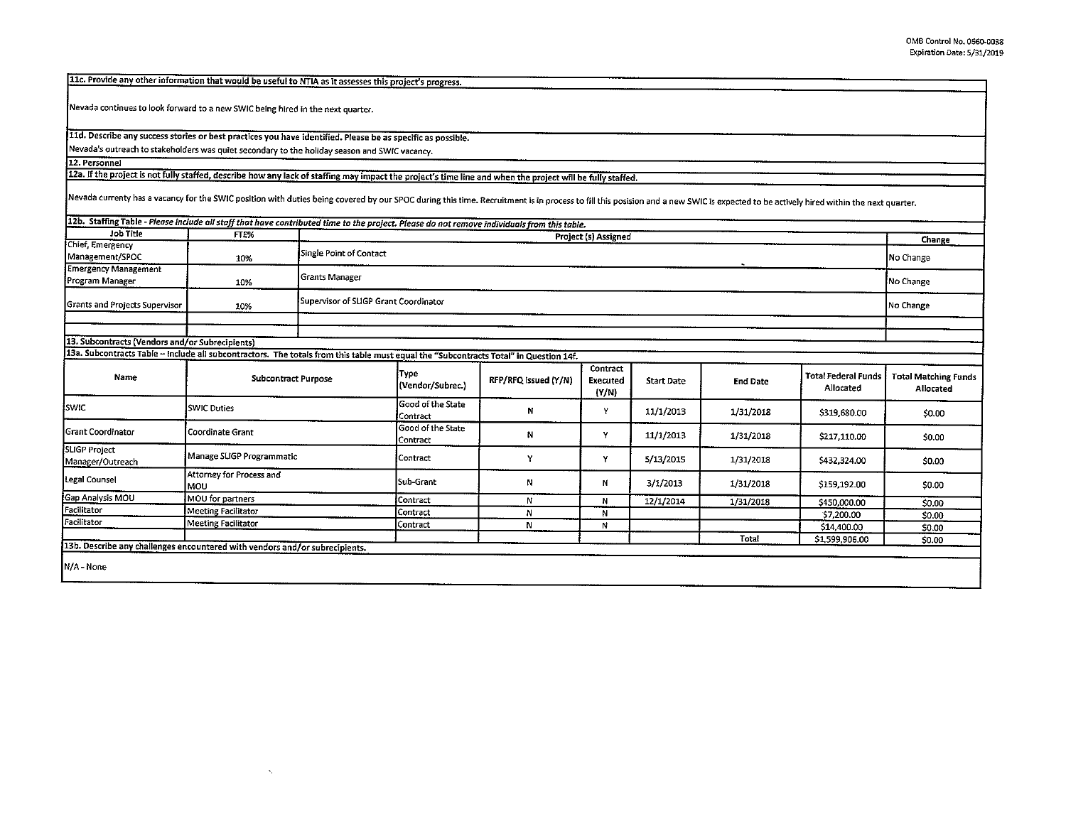11c. Provide any other information that would be useful to NTIA as it assesses this project's progress.

Nevada continues to look forward to a new SWIC being hired in the next quarter.

11d. Describe any success stories or best practices you have identified. Please be as specific as possible.

 $\mathbf{v}_i$ 

Nevada's outreach to stakeholders was quiet secondary to the holiday season and swrc vacancy.

12. Personnel

12a. If the project is not fully staffed, describe how any lack of staffing may impact the project's time line and when the project will be fully staffed.

Nevada currenty has a vacancy for the SWIC position with duties being covered by our SPOC during this time. Recruitment is in process to fill this posision and a new SWIC is expected to be actively hired within the next qu

| 112b. Staffing Table - Please include all staff that have contributed time to the project. Please do not remove individuals from this table. |                                  |                         |                                       |                      |                               |                   |                 |                                         |                                          |
|----------------------------------------------------------------------------------------------------------------------------------------------|----------------------------------|-------------------------|---------------------------------------|----------------------|-------------------------------|-------------------|-----------------|-----------------------------------------|------------------------------------------|
| <b>Job Title</b>                                                                                                                             | FTE%                             |                         | Project (s) Assigned                  |                      |                               |                   |                 |                                         |                                          |
| Chief, Emergency<br>Management/SPOC                                                                                                          | 10%                              | Single Point of Contact |                                       |                      |                               |                   |                 |                                         |                                          |
| <b>Emergency Management</b><br>Program Manager                                                                                               | 10%                              | Grants Manager          |                                       |                      |                               |                   |                 |                                         |                                          |
| Grants and Projects Supervisor                                                                                                               | 10%                              |                         | Supervisor of SLIGP Grant Coordinator |                      |                               |                   |                 |                                         |                                          |
|                                                                                                                                              |                                  |                         |                                       |                      |                               |                   |                 |                                         |                                          |
| 13. Subcontracts (Vendors and/or Subrecipients)                                                                                              |                                  |                         |                                       |                      |                               |                   |                 |                                         |                                          |
| 13a. Subcontracts Table - Include all subcontractors. The totals from this table must equal the "Subcontracts Total" in Question 14f.        |                                  |                         |                                       |                      |                               |                   |                 |                                         |                                          |
| Name                                                                                                                                         | <b>Subcontract Purpose</b>       |                         | Type<br>(Vendor/Subrec.)              | RFP/RFQ Issued (Y/N) | Contract<br>Executed<br>(Y/N) | <b>Start Date</b> | <b>End Date</b> | <b>Total Federal Funds</b><br>Allocated | <b>Total Matching Funds</b><br>Allocated |
| iswic                                                                                                                                        | <b>SWIC Duties</b>               |                         | Good of the State<br>Contract         | N                    | Y                             | 11/1/2013         | 1/31/2018       | \$319,630.00                            | \$0.00                                   |
| Grant Coordinator                                                                                                                            | Coordinate Grant                 |                         | Good of the State<br>Contract         | Ν                    | Y                             | 11/1/2013         | 1/31/2018       | \$217,110.00                            | \$0.00                                   |
| SLIGP Project<br>Manager/Outreach                                                                                                            | Manage SLIGP Programmatic        |                         | Contract                              | Y                    | Y                             | 5/13/2015         | 1/31/2018       | \$432,324.00                            | \$0.00                                   |
| Legal Counsel                                                                                                                                | Attorney for Process and<br>lmou |                         | Sub-Grant                             | Ν                    | N                             | 3/1/2013          | 1/31/2018       | \$159,192.00                            | \$0.00                                   |
| Gap Analysis MOU                                                                                                                             | MOU for partners                 |                         | Contract                              | N                    | N                             | 12/1/2014         | 1/31/2018       | \$450,000.00                            | \$0.00                                   |
| Facilitator                                                                                                                                  | <b>Meeting Facilitator</b>       |                         | Contract                              | N                    | N                             |                   |                 | \$7,200.00                              | \$0.00                                   |
| Facilitator                                                                                                                                  | <b>Meeting Facilitator</b>       |                         | Contract                              | N                    | Ν                             |                   |                 | \$14,400.00                             | \$0.00                                   |
|                                                                                                                                              |                                  |                         |                                       |                      |                               |                   | Total           | \$1,599,906.00                          | \$0.00                                   |
| 13b. Describe any challenges encountered with vendors and/or subrecipients.<br>N/A - None                                                    |                                  |                         |                                       |                      |                               |                   |                 |                                         |                                          |